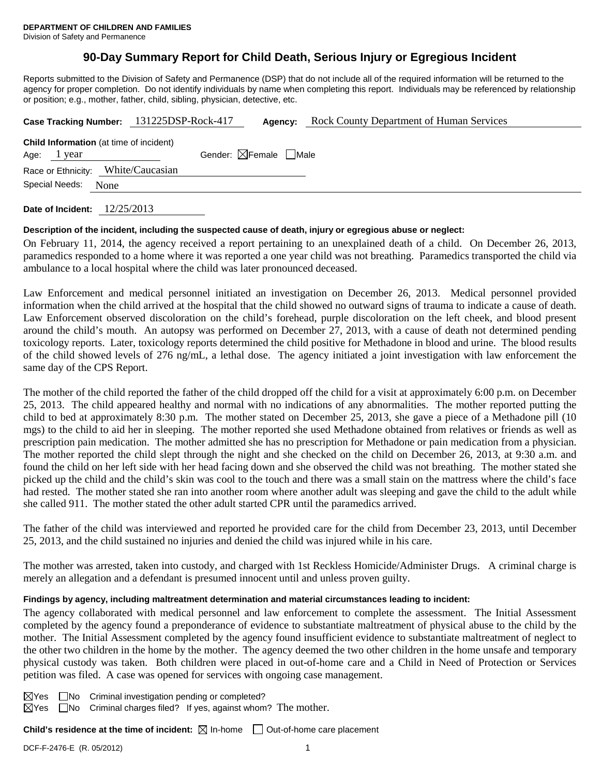Division of Safety and Permanence

# **90-Day Summary Report for Child Death, Serious Injury or Egregious Incident**

Reports submitted to the Division of Safety and Permanence (DSP) that do not include all of the required information will be returned to the agency for proper completion. Do not identify individuals by name when completing this report. Individuals may be referenced by relationship or position; e.g., mother, father, child, sibling, physician, detective, etc.

|                                                                 | Case Tracking Number: 131225DSP-Rock-417 | Agency:                                | <b>Rock County Department of Human Services</b> |
|-----------------------------------------------------------------|------------------------------------------|----------------------------------------|-------------------------------------------------|
| <b>Child Information</b> (at time of incident)<br>Age: $1$ year |                                          | Gender: $\boxtimes$ Female $\Box$ Male |                                                 |
| Race or Ethnicity: White/Caucasian                              |                                          |                                        |                                                 |
| Special Needs: None                                             |                                          |                                        |                                                 |
|                                                                 |                                          |                                        |                                                 |

**Date of Incident:** 12/25/2013

## **Description of the incident, including the suspected cause of death, injury or egregious abuse or neglect:**

On February 11, 2014, the agency received a report pertaining to an unexplained death of a child. On December 26, 2013, paramedics responded to a home where it was reported a one year child was not breathing. Paramedics transported the child via ambulance to a local hospital where the child was later pronounced deceased.

Law Enforcement and medical personnel initiated an investigation on December 26, 2013. Medical personnel provided information when the child arrived at the hospital that the child showed no outward signs of trauma to indicate a cause of death. Law Enforcement observed discoloration on the child's forehead, purple discoloration on the left cheek, and blood present around the child's mouth. An autopsy was performed on December 27, 2013, with a cause of death not determined pending toxicology reports. Later, toxicology reports determined the child positive for Methadone in blood and urine. The blood results of the child showed levels of 276 ng/mL, a lethal dose. The agency initiated a joint investigation with law enforcement the same day of the CPS Report.

The mother of the child reported the father of the child dropped off the child for a visit at approximately 6:00 p.m. on December 25, 2013. The child appeared healthy and normal with no indications of any abnormalities. The mother reported putting the child to bed at approximately 8:30 p.m. The mother stated on December 25, 2013, she gave a piece of a Methadone pill (10 mgs) to the child to aid her in sleeping. The mother reported she used Methadone obtained from relatives or friends as well as prescription pain medication. The mother admitted she has no prescription for Methadone or pain medication from a physician. The mother reported the child slept through the night and she checked on the child on December 26, 2013, at 9:30 a.m. and found the child on her left side with her head facing down and she observed the child was not breathing. The mother stated she picked up the child and the child's skin was cool to the touch and there was a small stain on the mattress where the child's face had rested. The mother stated she ran into another room where another adult was sleeping and gave the child to the adult while she called 911. The mother stated the other adult started CPR until the paramedics arrived.

The father of the child was interviewed and reported he provided care for the child from December 23, 2013, until December 25, 2013, and the child sustained no injuries and denied the child was injured while in his care.

The mother was arrested, taken into custody, and charged with 1st Reckless Homicide/Administer Drugs. A criminal charge is merely an allegation and a defendant is presumed innocent until and unless proven guilty.

## **Findings by agency, including maltreatment determination and material circumstances leading to incident:**

The agency collaborated with medical personnel and law enforcement to complete the assessment. The Initial Assessment completed by the agency found a preponderance of evidence to substantiate maltreatment of physical abuse to the child by the mother. The Initial Assessment completed by the agency found insufficient evidence to substantiate maltreatment of neglect to the other two children in the home by the mother. The agency deemed the two other children in the home unsafe and temporary physical custody was taken. Both children were placed in out-of-home care and a Child in Need of Protection or Services petition was filed. A case was opened for services with ongoing case management.

 $\boxtimes$ Yes  $\Box$ No Criminal investigation pending or completed?

 $\boxtimes$ Yes  $\Box$ No Criminal charges filed? If yes, against whom? The mother.

**Child's residence at the time of incident:**  $\boxtimes$  In-home  $\Box$  Out-of-home care placement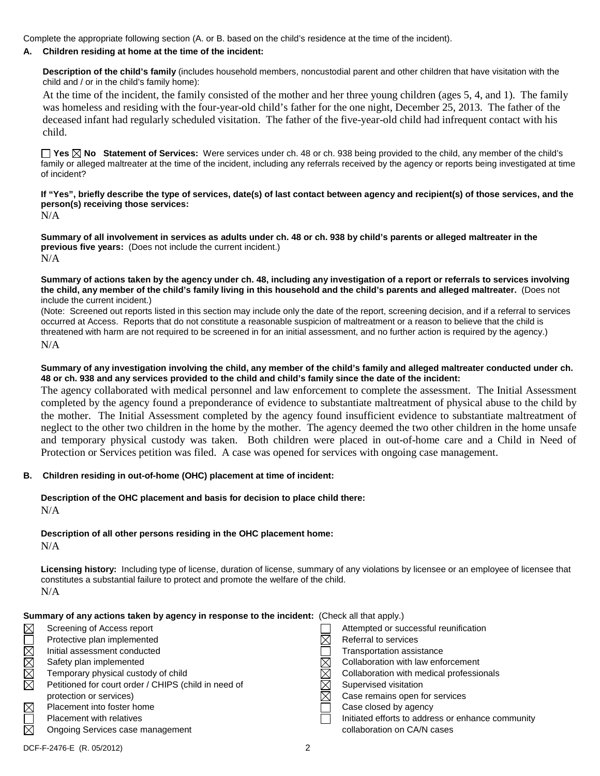Complete the appropriate following section (A. or B. based on the child's residence at the time of the incident).

#### **A. Children residing at home at the time of the incident:**

**Description of the child's family** (includes household members, noncustodial parent and other children that have visitation with the child and / or in the child's family home):

At the time of the incident, the family consisted of the mother and her three young children (ages 5, 4, and 1). The family was homeless and residing with the four-year-old child's father for the one night, December 25, 2013. The father of the deceased infant had regularly scheduled visitation. The father of the five-year-old child had infrequent contact with his child.

**Yes No Statement of Services:** Were services under ch. 48 or ch. 938 being provided to the child, any member of the child's family or alleged maltreater at the time of the incident, including any referrals received by the agency or reports being investigated at time of incident?

**If "Yes", briefly describe the type of services, date(s) of last contact between agency and recipient(s) of those services, and the person(s) receiving those services:**

N/A

**Summary of all involvement in services as adults under ch. 48 or ch. 938 by child's parents or alleged maltreater in the previous five years:** (Does not include the current incident.) N/A

**Summary of actions taken by the agency under ch. 48, including any investigation of a report or referrals to services involving the child, any member of the child's family living in this household and the child's parents and alleged maltreater.** (Does not include the current incident.)

(Note: Screened out reports listed in this section may include only the date of the report, screening decision, and if a referral to services occurred at Access. Reports that do not constitute a reasonable suspicion of maltreatment or a reason to believe that the child is threatened with harm are not required to be screened in for an initial assessment, and no further action is required by the agency.) N/A

#### **Summary of any investigation involving the child, any member of the child's family and alleged maltreater conducted under ch. 48 or ch. 938 and any services provided to the child and child's family since the date of the incident:**

The agency collaborated with medical personnel and law enforcement to complete the assessment. The Initial Assessment completed by the agency found a preponderance of evidence to substantiate maltreatment of physical abuse to the child by the mother. The Initial Assessment completed by the agency found insufficient evidence to substantiate maltreatment of neglect to the other two children in the home by the mother. The agency deemed the two other children in the home unsafe and temporary physical custody was taken. Both children were placed in out-of-home care and a Child in Need of Protection or Services petition was filed. A case was opened for services with ongoing case management.

## **B. Children residing in out-of-home (OHC) placement at time of incident:**

#### **Description of the OHC placement and basis for decision to place child there:**  $N/A$

## **Description of all other persons residing in the OHC placement home:**

N/A

**Licensing history:** Including type of license, duration of license, summary of any violations by licensee or an employee of licensee that constitutes a substantial failure to protect and promote the welfare of the child. N/A

|             | Summary of any actions taken by agency in response to the incident: (Check all that apply.) |                                                   |
|-------------|---------------------------------------------------------------------------------------------|---------------------------------------------------|
| $\boxtimes$ | Screening of Access report                                                                  | Attempted or successful reunification             |
|             | Protective plan implemented                                                                 | Referral to services                              |
| NMMMO       | Initial assessment conducted                                                                | Transportation assistance                         |
|             | Safety plan implemented                                                                     | Collaboration with law enforcement                |
|             | Temporary physical custody of child                                                         | Collaboration with medical professionals          |
|             | Petitioned for court order / CHIPS (child in need of                                        | Supervised visitation                             |
|             | protection or services)                                                                     | Case remains open for services                    |
| $\boxtimes$ | Placement into foster home                                                                  | Case closed by agency                             |
|             | Placement with relatives                                                                    | Initiated efforts to address or enhance community |
| $\boxtimes$ | Ongoing Services case management                                                            | collaboration on CA/N cases                       |